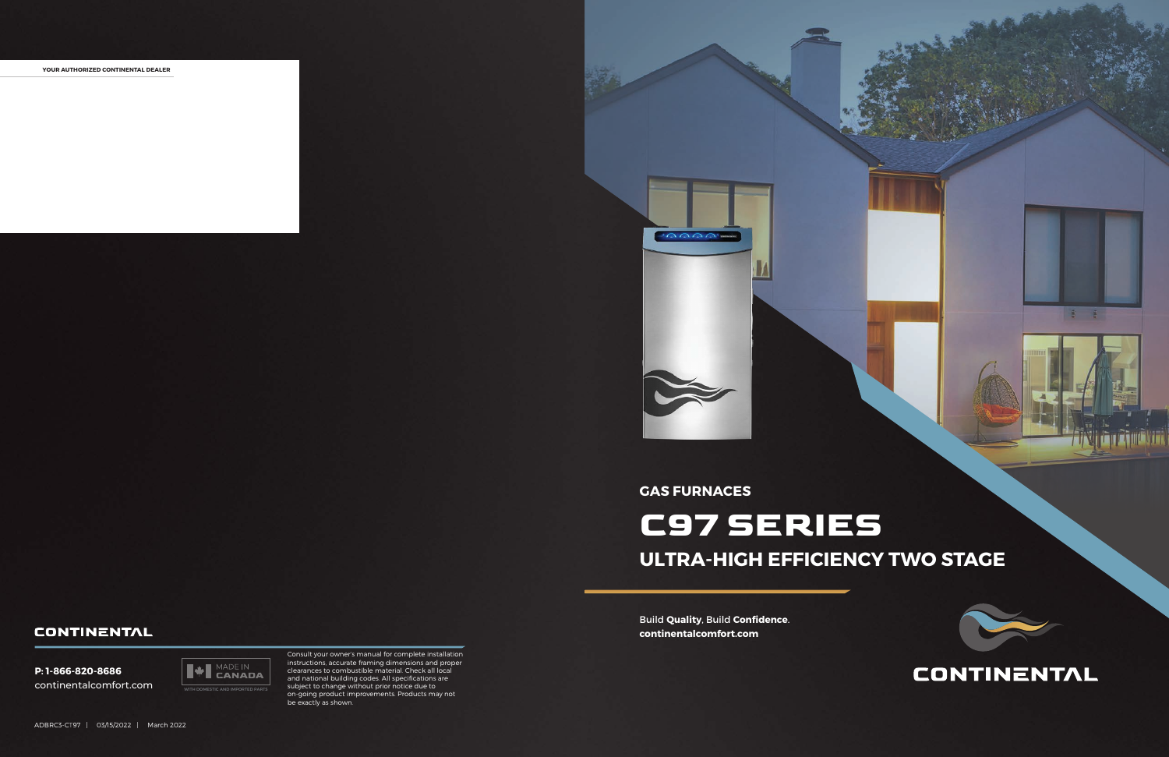

### **CONTINENTAL**

 $8 - 8$ 

Build **Quality**, Build **Confidence**. **continentalcomfort.com**

**YOUR AUTHORIZED CONTINENTAL DEALER**





Consult your owner's manual for complete installation instructions, accurate framing dimensions and proper clearances to combustible material. Check all local and national building codes. All specifications are subject to change without prior notice due to on-going product improvements. Products may not be exactly as shown.

### **GAS FURNACES**

# **C97 SERIES ULTRA-HIGH EFFICIENCY TWO STAGE**

#### **CONTINENTAL**

**P: 1-866-820-8686** continentalcomfort.com